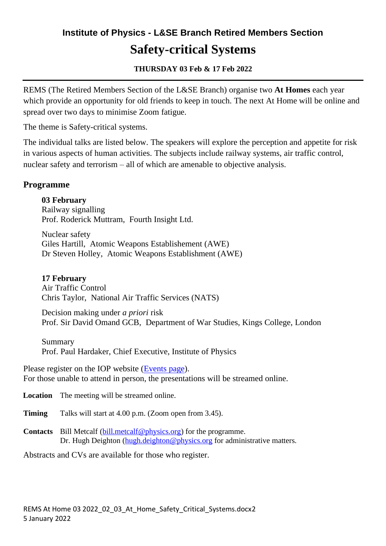# **Institute of Physics - L&SE Branch Retired Members Section Safety-critical Systems**

### **THURSDAY 03 Feb & 17 Feb 2022**

REMS (The Retired Members Section of the L&SE Branch) organise two **At Homes** each year which provide an opportunity for old friends to keep in touch. The next At Home will be online and spread over two days to minimise Zoom fatigue.

The theme is Safety-critical systems.

The individual talks are listed below. The speakers will explore the perception and appetite for risk in various aspects of human activities. The subjects include railway systems, air traffic control, nuclear safety and terrorism – all of which are amenable to objective analysis.

#### **Programme**

#### **03 February**

Railway signalling Prof. Roderick Muttram, Fourth Insight Ltd.

Nuclear safety Giles Hartill, Atomic Weapons Establishement (AWE) Dr Steven Holley, Atomic Weapons Establishment (AWE)

#### **17 February**

Air Traffic Control Chris Taylor, National Air Traffic Services (NATS)

Decision making under *a priori* risk Prof. Sir David Omand GCB, Department of War Studies, Kings College, London

Summary Prof. Paul Hardaker, Chief Executive, Institute of Physics

Please register on the IOP website [\(Events page\)](http://webinars.iopconfs.org/Home). For those unable to attend in person, the presentations will be streamed online.

**Location** The meeting will be streamed online.

- **Timing** Talks will start at 4.00 p.m. (Zoom open from 3.45).
- **Contacts** Bill Metcalf [\(bill.metcalf@physics.org\)](mailto:bill.metcalf@physics.org) for the programme. Dr. Hugh Deighton [\(hugh.deighton@physics.org](mailto:hugh.deighton@physics.org) for administrative matters.

Abstracts and CVs are available for those who register.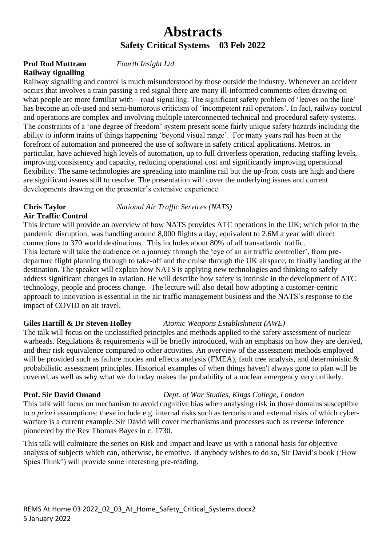# **Abstracts Safety Critical Systems 03 Feb 2022**

#### **Prof Rod Muttram** *Fourth Insight Ltd* **Railway signalling**

Railway signalling and control is much misunderstood by those outside the industry. Whenever an accident occurs that involves a train passing a red signal there are many ill-informed comments often drawing on what people are more familiar with – road signalling. The significant safety problem of 'leaves on the line' has become an oft-used and semi-humorous criticism of 'incompetent rail operators'. In fact, railway control and operations are complex and involving multiple interconnected technical and procedural safety systems. The constraints of a 'one degree of freedom' system present some fairly unique safety hazards including the ability to inform trains of things happening 'beyond visual range'. For many years rail has been at the forefront of automation and pioneered the use of software in safety critical applications. Metros, in particular, have achieved high levels of automation, up to full driverless operation, reducing staffing levels, improving consistency and capacity, reducing operational cost and significantly improving operational flexibility. The same technologies are spreading into mainline rail but the up-front costs are high and there are significant issues still to resolve. The presentation will cover the underlying issues and current developments drawing on the presenter's extensive experience.

# **Air Traffic Control**

**Chris Taylor** *National Air Traffic Services (NATS)*

This lecture will provide an overview of how NATS provides ATC operations in the UK; which prior to the pandemic disruption, was handling around 8,000 flights a day, equivalent to 2.6M a year with direct connections to 370 world destinations. This includes about 80% of all transatlantic traffic. This lecture will take the audience on a journey through the 'eye of an air traffic controller', from predeparture flight planning through to take-off and the cruise through the UK airspace, to finally landing at the destination. The speaker will explain how NATS is applying new technologies and thinking to safely address significant changes in aviation. He will describe how safety is intrinsic in the development of ATC technology, people and process change. The lecture will also detail how adopting a customer-centric approach to innovation is essential in the air traffic management business and the NATS's response to the impact of COVID on air travel.

#### **Giles Hartill & Dr Steven Holley** *Atomic Weapons Establishment (AWE)*

The talk will focus on the unclassified principles and methods applied to the safety assessment of nuclear warheads. Regulations & requirements will be briefly introduced, with an emphasis on how they are derived, and their risk equivalence compared to other activities. An overview of the assessment methods employed will be provided such as failure modes and effects analysis (FMEA), fault tree analysis, and deterministic  $\&$ probabilistic assessment principles. Historical examples of when things haven't always gone to plan will be covered, as well as why what we do today makes the probability of a nuclear emergency very unlikely.

#### **Prof. Sir David Omand** *Dept. of War Studies, Kings College, London*

This talk will focus on mechanism to avoid cognitive bias when analysing risk in those domains susceptible to *a priori* assumptions: these include e.g. internal risks such as terrorism and external risks of which cyberwarfare is a current example. Sir David will cover mechanisms and processes such as reverse inference pioneered by the Rev Thomas Bayes in c. 1730.

This talk will culminate the series on Risk and Impact and leave us with a rational basis for objective analysis of subjects which can, otherwise, be emotive. If anybody wishes to do so, Sir David's book ('How Spies Think') will provide some interesting pre-reading.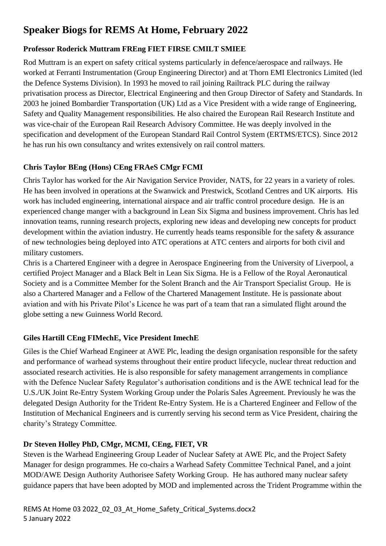# **Speaker Biogs for REMS At Home, February 2022**

### **Professor Roderick Muttram FREng FIET FIRSE CMILT SMIEE**

Rod Muttram is an expert on safety critical systems particularly in defence/aerospace and railways. He worked at Ferranti Instrumentation (Group Engineering Director) and at Thorn EMI Electronics Limited (led the Defence Systems Division). In 1993 he moved to rail joining Railtrack PLC during the railway privatisation process as Director, Electrical Engineering and then Group Director of Safety and Standards. In 2003 he joined Bombardier Transportation (UK) Ltd as a Vice President with a wide range of Engineering, Safety and Quality Management responsibilities. He also chaired the European Rail Research Institute and was vice-chair of the European Rail Research Advisory Committee. He was deeply involved in the specification and development of the European Standard Rail Control System (ERTMS/ETCS). Since 2012 he has run his own consultancy and writes extensively on rail control matters.

#### **Chris Taylor BEng (Hons) CEng FRAeS CMgr FCMI**

Chris Taylor has worked for the Air Navigation Service Provider, NATS, for 22 years in a variety of roles. He has been involved in operations at the Swanwick and Prestwick, Scotland Centres and UK airports. His work has included engineering, international airspace and air traffic control procedure design. He is an experienced change manger with a background in Lean Six Sigma and business improvement. Chris has led innovation teams, running research projects, exploring new ideas and developing new concepts for product development within the aviation industry. He currently heads teams responsible for the safety  $\&$  assurance of new technologies being deployed into ATC operations at ATC centers and airports for both civil and military customers.

Chris is a Chartered Engineer with a degree in Aerospace Engineering from the University of Liverpool, a certified Project Manager and a Black Belt in Lean Six Sigma. He is a Fellow of the Royal Aeronautical Society and is a Committee Member for the Solent Branch and the Air Transport Specialist Group. He is also a Chartered Manager and a Fellow of the Chartered Management Institute. He is passionate about aviation and with his Private Pilot's Licence he was part of a team that ran a simulated flight around the globe setting a new Guinness World Record.

#### **Giles Hartill CEng FIMechE, Vice President ImechE**

Giles is the Chief Warhead Engineer at AWE Plc, leading the design organisation responsible for the safety and performance of warhead systems throughout their entire product lifecycle, nuclear threat reduction and associated research activities. He is also responsible for safety management arrangements in compliance with the Defence Nuclear Safety Regulator's authorisation conditions and is the AWE technical lead for the U.S./UK Joint Re-Entry System Working Group under the Polaris Sales Agreement. Previously he was the delegated Design Authority for the Trident Re-Entry System. He is a Chartered Engineer and Fellow of the Institution of Mechanical Engineers and is currently serving his second term as Vice President, chairing the charity's Strategy Committee.

### **Dr Steven Holley PhD, CMgr, MCMI, CEng, FIET, VR**

Steven is the Warhead Engineering Group Leader of Nuclear Safety at AWE Plc, and the Project Safety Manager for design programmes. He co-chairs a Warhead Safety Committee Technical Panel, and a joint MOD/AWE Design Authority Authorisee Safety Working Group. He has authored many nuclear safety guidance papers that have been adopted by MOD and implemented across the Trident Programme within the